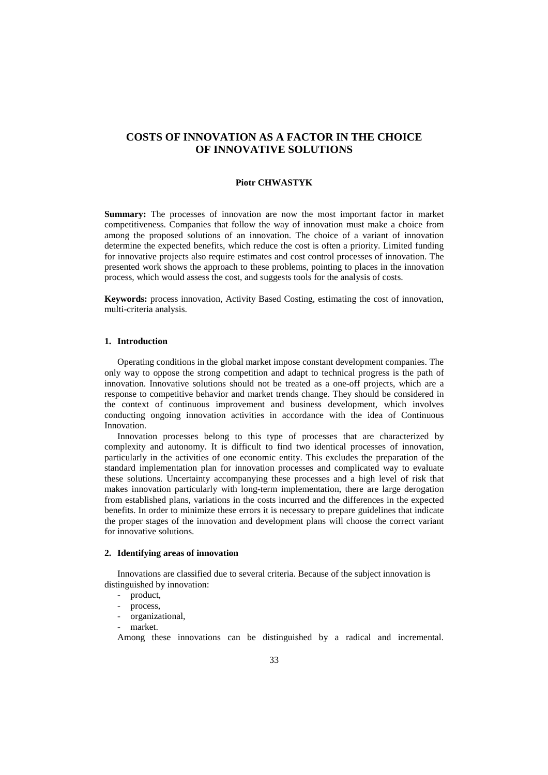# **COSTS OF INNOVATION AS A FACTOR IN THE CHOICE OF INNOVATIVE SOLUTIONS**

#### **Piotr CHWASTYK**

**Summary:** The processes of innovation are now the most important factor in market competitiveness. Companies that follow the way of innovation must make a choice from among the proposed solutions of an innovation. The choice of a variant of innovation determine the expected benefits, which reduce the cost is often a priority. Limited funding for innovative projects also require estimates and cost control processes of innovation. The presented work shows the approach to these problems, pointing to places in the innovation process, which would assess the cost, and suggests tools for the analysis of costs.

**Keywords:** process innovation, Activity Based Costing, estimating the cost of innovation, multi-criteria analysis.

## **1. Introduction**

Operating conditions in the global market impose constant development companies. The only way to oppose the strong competition and adapt to technical progress is the path of innovation. Innovative solutions should not be treated as a one-off projects, which are a response to competitive behavior and market trends change. They should be considered in the context of continuous improvement and business development, which involves conducting ongoing innovation activities in accordance with the idea of Continuous Innovation.

Innovation processes belong to this type of processes that are characterized by complexity and autonomy. It is difficult to find two identical processes of innovation, particularly in the activities of one economic entity. This excludes the preparation of the standard implementation plan for innovation processes and complicated way to evaluate these solutions. Uncertainty accompanying these processes and a high level of risk that makes innovation particularly with long-term implementation, there are large derogation from established plans, variations in the costs incurred and the differences in the expected benefits. In order to minimize these errors it is necessary to prepare guidelines that indicate the proper stages of the innovation and development plans will choose the correct variant for innovative solutions.

## **2. Identifying areas of innovation**

Innovations are classified due to several criteria. Because of the subject innovation is distinguished by innovation:

- product,
- process,
- organizational,
- market.

Among these innovations can be distinguished by a radical and incremental.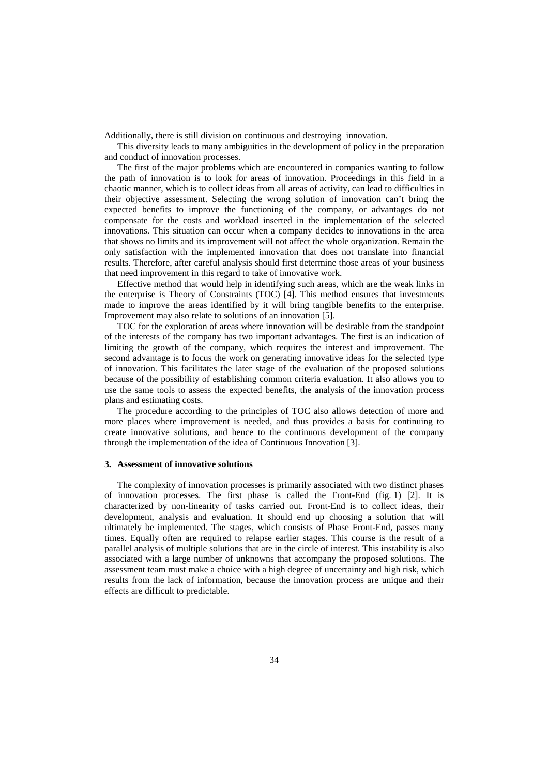Additionally, there is still division on continuous and destroying innovation.

This diversity leads to many ambiguities in the development of policy in the preparation and conduct of innovation processes.

The first of the major problems which are encountered in companies wanting to follow the path of innovation is to look for areas of innovation. Proceedings in this field in a chaotic manner, which is to collect ideas from all areas of activity, can lead to difficulties in their objective assessment. Selecting the wrong solution of innovation can't bring the expected benefits to improve the functioning of the company, or advantages do not compensate for the costs and workload inserted in the implementation of the selected innovations. This situation can occur when a company decides to innovations in the area that shows no limits and its improvement will not affect the whole organization. Remain the only satisfaction with the implemented innovation that does not translate into financial results. Therefore, after careful analysis should first determine those areas of your business that need improvement in this regard to take of innovative work.

Effective method that would help in identifying such areas, which are the weak links in the enterprise is Theory of Constraints (TOC) [4]. This method ensures that investments made to improve the areas identified by it will bring tangible benefits to the enterprise. Improvement may also relate to solutions of an innovation [5].

TOC for the exploration of areas where innovation will be desirable from the standpoint of the interests of the company has two important advantages. The first is an indication of limiting the growth of the company, which requires the interest and improvement. The second advantage is to focus the work on generating innovative ideas for the selected type of innovation. This facilitates the later stage of the evaluation of the proposed solutions because of the possibility of establishing common criteria evaluation. It also allows you to use the same tools to assess the expected benefits, the analysis of the innovation process plans and estimating costs.

The procedure according to the principles of TOC also allows detection of more and more places where improvement is needed, and thus provides a basis for continuing to create innovative solutions, and hence to the continuous development of the company through the implementation of the idea of Continuous Innovation [3].

#### **3. Assessment of innovative solutions**

The complexity of innovation processes is primarily associated with two distinct phases of innovation processes. The first phase is called the Front-End (fig. 1) [2]. It is characterized by non-linearity of tasks carried out. Front-End is to collect ideas, their development, analysis and evaluation. It should end up choosing a solution that will ultimately be implemented. The stages, which consists of Phase Front-End, passes many times. Equally often are required to relapse earlier stages. This course is the result of a parallel analysis of multiple solutions that are in the circle of interest. This instability is also associated with a large number of unknowns that accompany the proposed solutions. The assessment team must make a choice with a high degree of uncertainty and high risk, which results from the lack of information, because the innovation process are unique and their effects are difficult to predictable.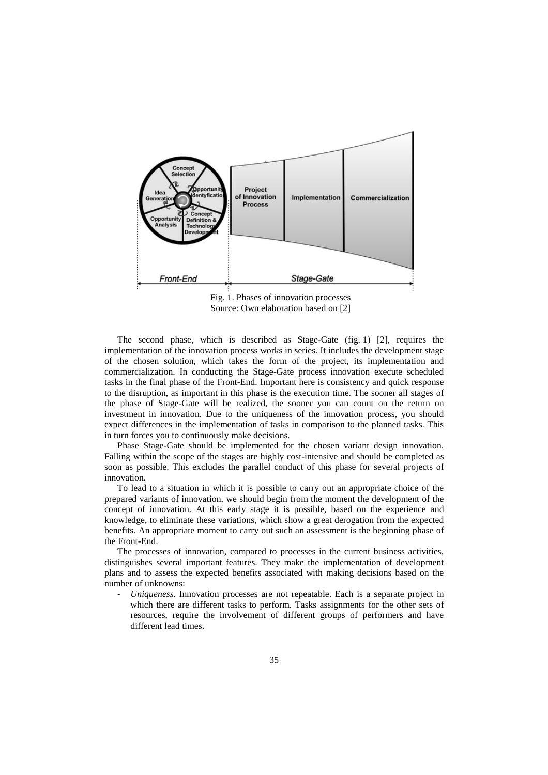

Fig. 1. Phases of innovation processes Source: Own elaboration based on [2]

The second phase, which is described as Stage-Gate (fig. 1) [2], requires the implementation of the innovation process works in series. It includes the development stage of the chosen solution, which takes the form of the project, its implementation and commercialization. In conducting the Stage-Gate process innovation execute scheduled tasks in the final phase of the Front-End. Important here is consistency and quick response to the disruption, as important in this phase is the execution time. The sooner all stages of the phase of Stage-Gate will be realized, the sooner you can count on the return on investment in innovation. Due to the uniqueness of the innovation process, you should expect differences in the implementation of tasks in comparison to the planned tasks. This in turn forces you to continuously make decisions.

Phase Stage-Gate should be implemented for the chosen variant design innovation. Falling within the scope of the stages are highly cost-intensive and should be completed as soon as possible. This excludes the parallel conduct of this phase for several projects of innovation.

To lead to a situation in which it is possible to carry out an appropriate choice of the prepared variants of innovation, we should begin from the moment the development of the concept of innovation. At this early stage it is possible, based on the experience and knowledge, to eliminate these variations, which show a great derogation from the expected benefits. An appropriate moment to carry out such an assessment is the beginning phase of the Front-End.

The processes of innovation, compared to processes in the current business activities, distinguishes several important features. They make the implementation of development plans and to assess the expected benefits associated with making decisions based on the number of unknowns:

- *Uniqueness*. Innovation processes are not repeatable. Each is a separate project in which there are different tasks to perform. Tasks assignments for the other sets of resources, require the involvement of different groups of performers and have different lead times.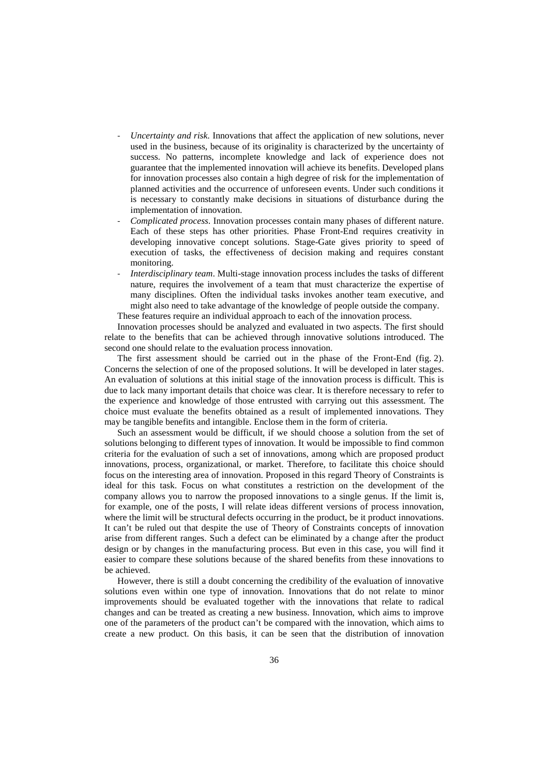- *Uncertainty and risk*. Innovations that affect the application of new solutions, never used in the business, because of its originality is characterized by the uncertainty of success. No patterns, incomplete knowledge and lack of experience does not guarantee that the implemented innovation will achieve its benefits. Developed plans for innovation processes also contain a high degree of risk for the implementation of planned activities and the occurrence of unforeseen events. Under such conditions it is necessary to constantly make decisions in situations of disturbance during the implementation of innovation.
- *Complicated process*. Innovation processes contain many phases of different nature. Each of these steps has other priorities. Phase Front-End requires creativity in developing innovative concept solutions. Stage-Gate gives priority to speed of execution of tasks, the effectiveness of decision making and requires constant monitoring.
- *Interdisciplinary team*. Multi-stage innovation process includes the tasks of different nature, requires the involvement of a team that must characterize the expertise of many disciplines. Often the individual tasks invokes another team executive, and might also need to take advantage of the knowledge of people outside the company. These features require an individual approach to each of the innovation process.

Innovation processes should be analyzed and evaluated in two aspects. The first should relate to the benefits that can be achieved through innovative solutions introduced. The second one should relate to the evaluation process innovation.

The first assessment should be carried out in the phase of the Front-End (fig. 2). Concerns the selection of one of the proposed solutions. It will be developed in later stages. An evaluation of solutions at this initial stage of the innovation process is difficult. This is due to lack many important details that choice was clear. It is therefore necessary to refer to the experience and knowledge of those entrusted with carrying out this assessment. The choice must evaluate the benefits obtained as a result of implemented innovations. They may be tangible benefits and intangible. Enclose them in the form of criteria.

Such an assessment would be difficult, if we should choose a solution from the set of solutions belonging to different types of innovation. It would be impossible to find common criteria for the evaluation of such a set of innovations, among which are proposed product innovations, process, organizational, or market. Therefore, to facilitate this choice should focus on the interesting area of innovation. Proposed in this regard Theory of Constraints is ideal for this task. Focus on what constitutes a restriction on the development of the company allows you to narrow the proposed innovations to a single genus. If the limit is, for example, one of the posts, I will relate ideas different versions of process innovation, where the limit will be structural defects occurring in the product, be it product innovations. It can't be ruled out that despite the use of Theory of Constraints concepts of innovation arise from different ranges. Such a defect can be eliminated by a change after the product design or by changes in the manufacturing process. But even in this case, you will find it easier to compare these solutions because of the shared benefits from these innovations to be achieved.

However, there is still a doubt concerning the credibility of the evaluation of innovative solutions even within one type of innovation. Innovations that do not relate to minor improvements should be evaluated together with the innovations that relate to radical changes and can be treated as creating a new business. Innovation, which aims to improve one of the parameters of the product can't be compared with the innovation, which aims to create a new product. On this basis, it can be seen that the distribution of innovation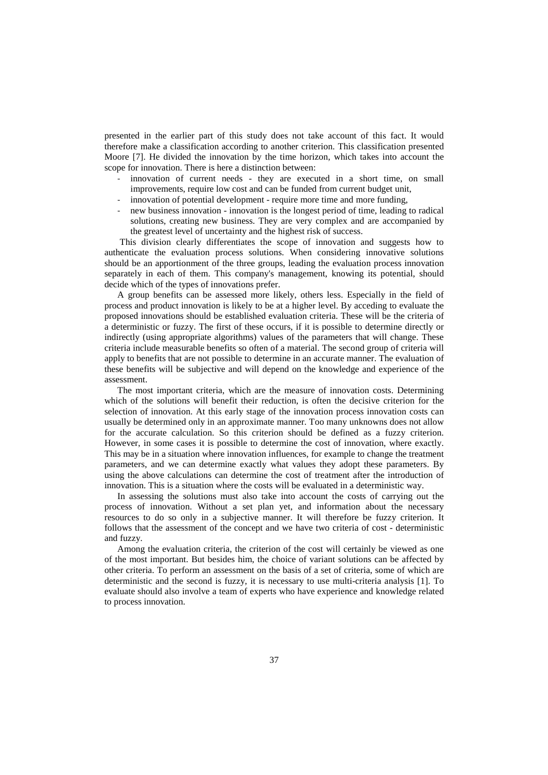presented in the earlier part of this study does not take account of this fact. It would therefore make a classification according to another criterion. This classification presented Moore [7]. He divided the innovation by the time horizon, which takes into account the scope for innovation. There is here a distinction between:

- innovation of current needs they are executed in a short time, on small improvements, require low cost and can be funded from current budget unit,
- innovation of potential development require more time and more funding,
- new business innovation innovation is the longest period of time, leading to radical solutions, creating new business. They are very complex and are accompanied by the greatest level of uncertainty and the highest risk of success.

 This division clearly differentiates the scope of innovation and suggests how to authenticate the evaluation process solutions. When considering innovative solutions should be an apportionment of the three groups, leading the evaluation process innovation separately in each of them. This company's management, knowing its potential, should decide which of the types of innovations prefer.

A group benefits can be assessed more likely, others less. Especially in the field of process and product innovation is likely to be at a higher level. By acceding to evaluate the proposed innovations should be established evaluation criteria. These will be the criteria of a deterministic or fuzzy. The first of these occurs, if it is possible to determine directly or indirectly (using appropriate algorithms) values of the parameters that will change. These criteria include measurable benefits so often of a material. The second group of criteria will apply to benefits that are not possible to determine in an accurate manner. The evaluation of these benefits will be subjective and will depend on the knowledge and experience of the assessment.

The most important criteria, which are the measure of innovation costs. Determining which of the solutions will benefit their reduction, is often the decisive criterion for the selection of innovation. At this early stage of the innovation process innovation costs can usually be determined only in an approximate manner. Too many unknowns does not allow for the accurate calculation. So this criterion should be defined as a fuzzy criterion. However, in some cases it is possible to determine the cost of innovation, where exactly. This may be in a situation where innovation influences, for example to change the treatment parameters, and we can determine exactly what values they adopt these parameters. By using the above calculations can determine the cost of treatment after the introduction of innovation. This is a situation where the costs will be evaluated in a deterministic way.

In assessing the solutions must also take into account the costs of carrying out the process of innovation. Without a set plan yet, and information about the necessary resources to do so only in a subjective manner. It will therefore be fuzzy criterion. It follows that the assessment of the concept and we have two criteria of cost - deterministic and fuzzy.

Among the evaluation criteria, the criterion of the cost will certainly be viewed as one of the most important. But besides him, the choice of variant solutions can be affected by other criteria. To perform an assessment on the basis of a set of criteria, some of which are deterministic and the second is fuzzy, it is necessary to use multi-criteria analysis [1]. To evaluate should also involve a team of experts who have experience and knowledge related to process innovation.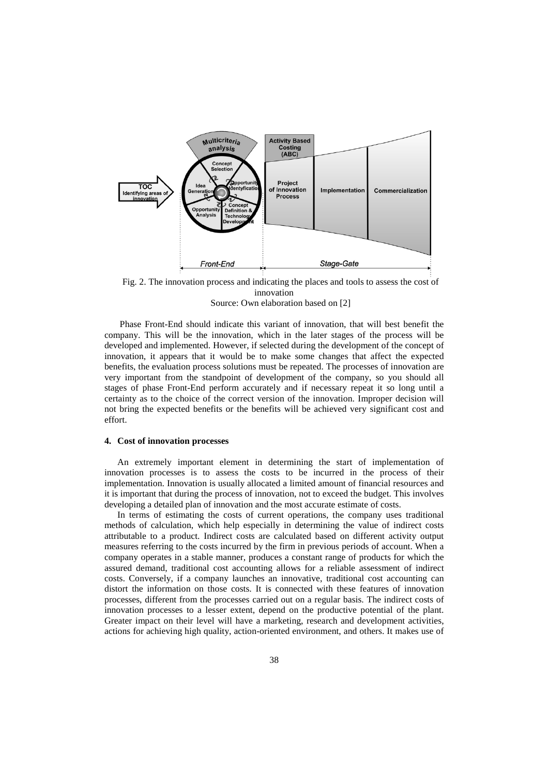



 Phase Front-End should indicate this variant of innovation, that will best benefit the company. This will be the innovation, which in the later stages of the process will be developed and implemented. However, if selected during the development of the concept of innovation, it appears that it would be to make some changes that affect the expected benefits, the evaluation process solutions must be repeated. The processes of innovation are very important from the standpoint of development of the company, so you should all stages of phase Front-End perform accurately and if necessary repeat it so long until a certainty as to the choice of the correct version of the innovation. Improper decision will not bring the expected benefits or the benefits will be achieved very significant cost and effort.

#### **4. Cost of innovation processes**

An extremely important element in determining the start of implementation of innovation processes is to assess the costs to be incurred in the process of their implementation. Innovation is usually allocated a limited amount of financial resources and it is important that during the process of innovation, not to exceed the budget. This involves developing a detailed plan of innovation and the most accurate estimate of costs.

In terms of estimating the costs of current operations, the company uses traditional methods of calculation, which help especially in determining the value of indirect costs attributable to a product. Indirect costs are calculated based on different activity output measures referring to the costs incurred by the firm in previous periods of account. When a company operates in a stable manner, produces a constant range of products for which the assured demand, traditional cost accounting allows for a reliable assessment of indirect costs. Conversely, if a company launches an innovative, traditional cost accounting can distort the information on those costs. It is connected with these features of innovation processes, different from the processes carried out on a regular basis. The indirect costs of innovation processes to a lesser extent, depend on the productive potential of the plant. Greater impact on their level will have a marketing, research and development activities, actions for achieving high quality, action-oriented environment, and others. It makes use of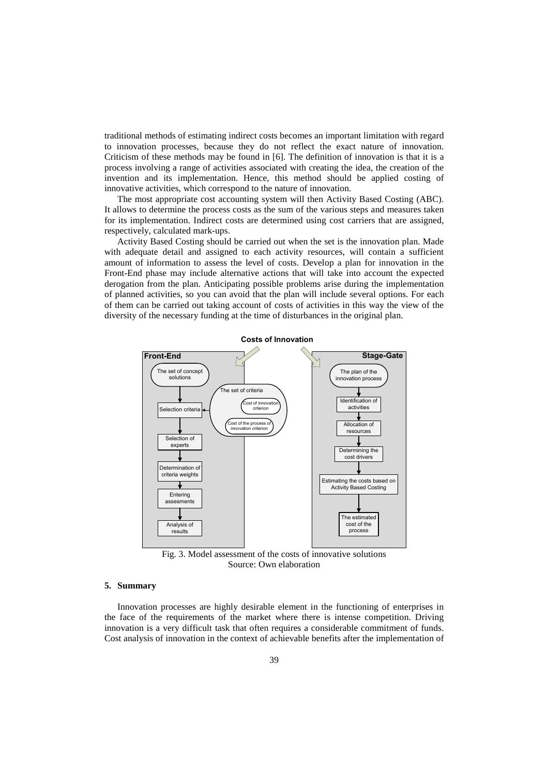traditional methods of estimating indirect costs becomes an important limitation with regard to innovation processes, because they do not reflect the exact nature of innovation. Criticism of these methods may be found in [6]. The definition of innovation is that it is a process involving a range of activities associated with creating the idea, the creation of the invention and its implementation. Hence, this method should be applied costing of innovative activities, which correspond to the nature of innovation.

The most appropriate cost accounting system will then Activity Based Costing (ABC). It allows to determine the process costs as the sum of the various steps and measures taken for its implementation. Indirect costs are determined using cost carriers that are assigned, respectively, calculated mark-ups.

Activity Based Costing should be carried out when the set is the innovation plan. Made with adequate detail and assigned to each activity resources, will contain a sufficient amount of information to assess the level of costs. Develop a plan for innovation in the Front-End phase may include alternative actions that will take into account the expected derogation from the plan. Anticipating possible problems arise during the implementation of planned activities, so you can avoid that the plan will include several options. For each of them can be carried out taking account of costs of activities in this way the view of the diversity of the necessary funding at the time of disturbances in the original plan.



Fig. 3. Model assessment of the costs of innovative solutions Source: Own elaboration

## **5. Summary**

Innovation processes are highly desirable element in the functioning of enterprises in the face of the requirements of the market where there is intense competition. Driving innovation is a very difficult task that often requires a considerable commitment of funds. Cost analysis of innovation in the context of achievable benefits after the implementation of